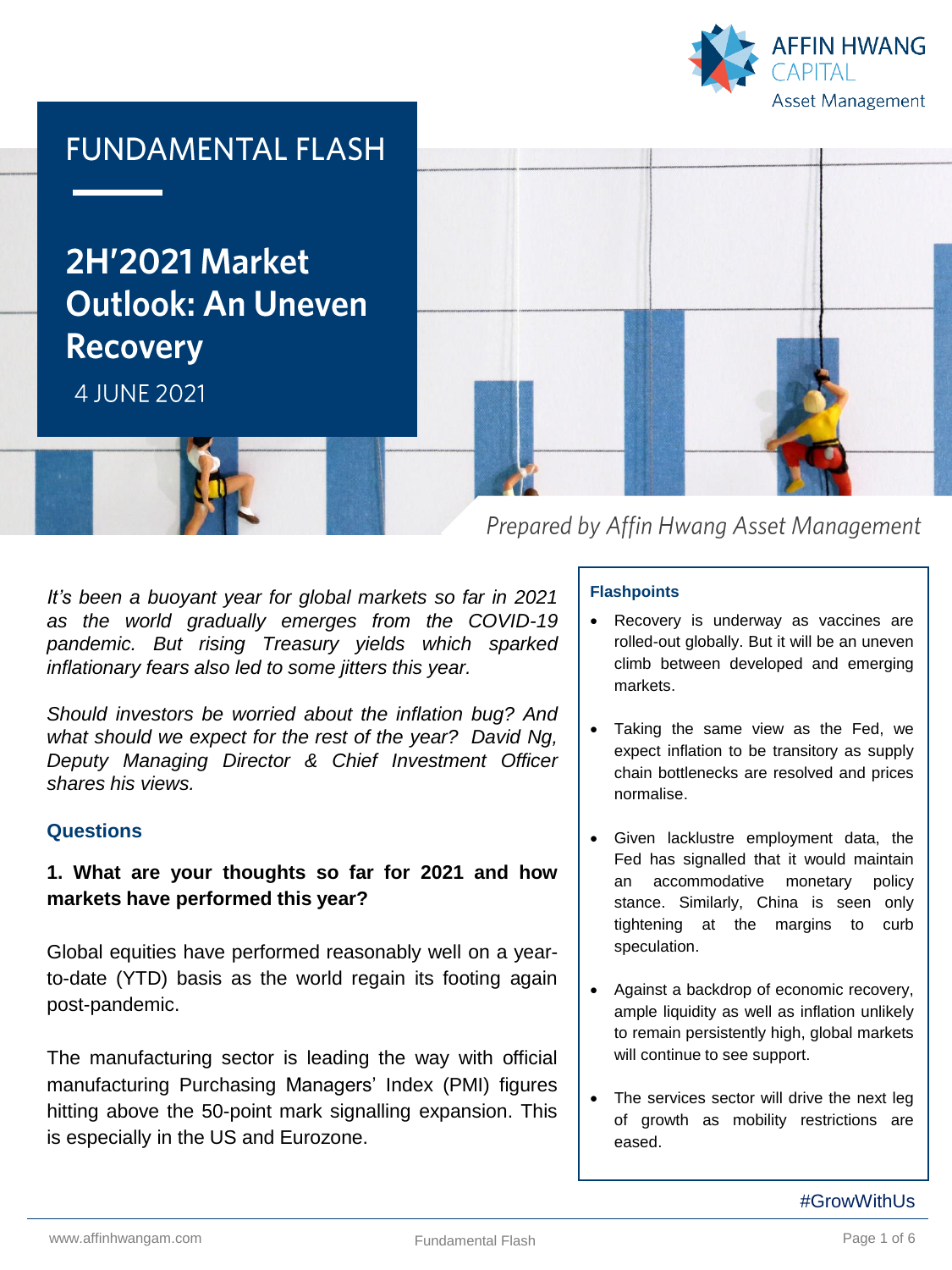



**2H'2021 Market Outlook: An Uneven Recovery** 

4 JUNE 2021



*It's been a buoyant year for global markets so far in 2021 as the world gradually emerges from the COVID-19 pandemic. But rising Treasury yields which sparked inflationary fears also led to some jitters this year.*

*Should investors be worried about the inflation bug? And what should we expect for the rest of the year? David Ng, Deputy Managing Director & Chief Investment Officer shares his views.*

## **Questions**

# **1. What are your thoughts so far for 2021 and how markets have performed this year?**

Global equities have performed reasonably well on a yearto-date (YTD) basis as the world regain its footing again post-pandemic.

The manufacturing sector is leading the way with official manufacturing Purchasing Managers' Index (PMI) figures hitting above the 50-point mark signalling expansion. This is especially in the US and Eurozone.

Prepared by Affin Hwang Asset Management

## **Flashpoints**

- Recovery is underway as vaccines are rolled-out globally. But it will be an uneven climb between developed and emerging markets.
- Taking the same view as the Fed, we expect inflation to be transitory as supply chain bottlenecks are resolved and prices normalise.
- Given lacklustre employment data, the Fed has signalled that it would maintain an accommodative monetary policy stance. Similarly, China is seen only tightening at the margins to curb speculation.
- Against a backdrop of economic recovery, ample liquidity as well as inflation unlikely to remain persistently high, global markets will continue to see support.
- The services sector will drive the next leg of growth as mobility restrictions are eased.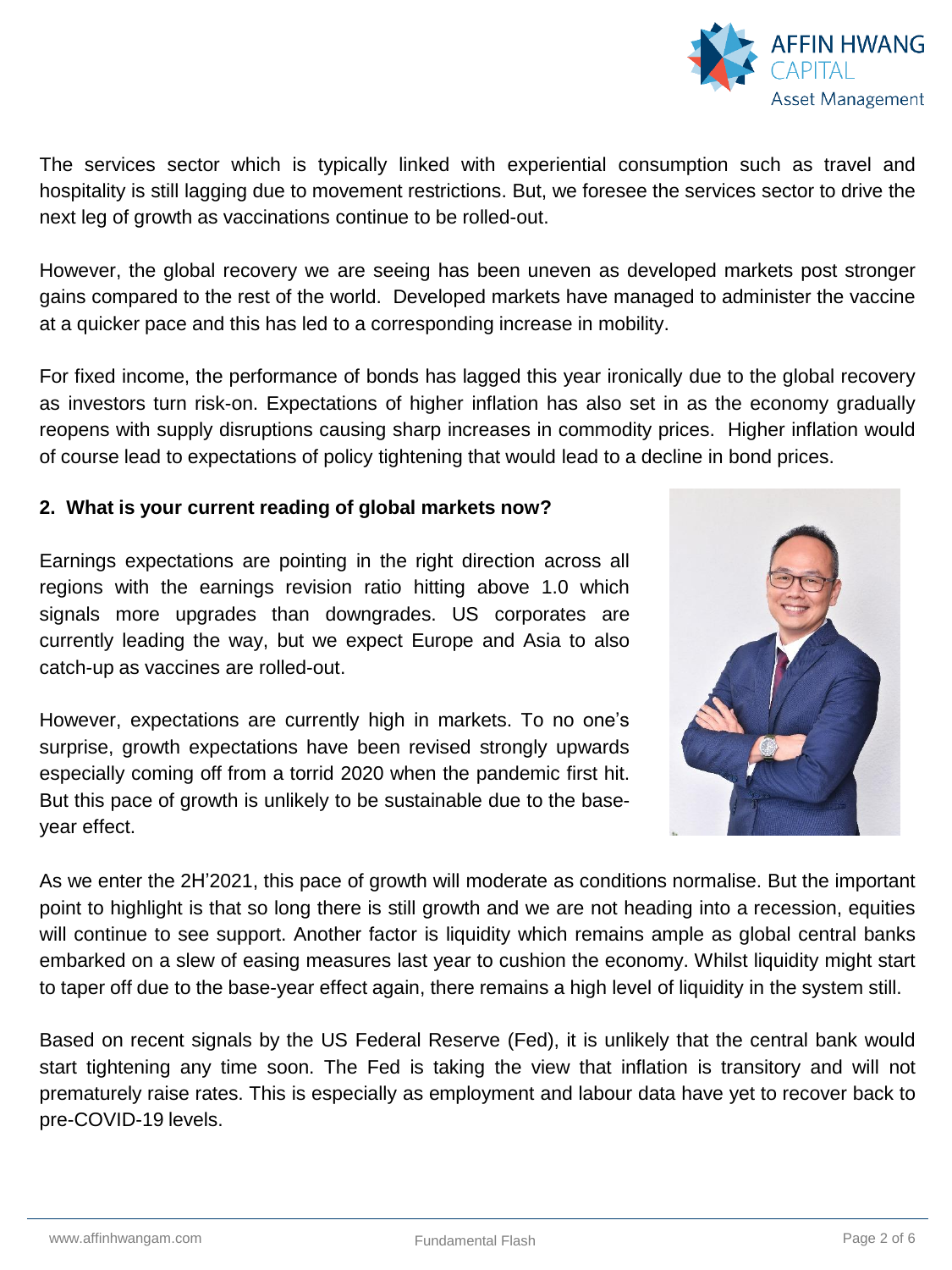

N HWANG

The services sector which is typically linked with experiential consumption such as travel and hospitality is still lagging due to movement restrictions. But, we foresee the services sector to drive the next leg of growth as vaccinations continue to be rolled-out.

However, the global recovery we are seeing has been uneven as developed markets post stronger gains compared to the rest of the world. Developed markets have managed to administer the vaccine at a quicker pace and this has led to a corresponding increase in mobility.

For fixed income, the performance of bonds has lagged this year ironically due to the global recovery as investors turn risk-on. Expectations of higher inflation has also set in as the economy gradually reopens with supply disruptions causing sharp increases in commodity prices. Higher inflation would of course lead to expectations of policy tightening that would lead to a decline in bond prices.

## **2. What is your current reading of global markets now?**

Earnings expectations are pointing in the right direction across all regions with the earnings revision ratio hitting above 1.0 which signals more upgrades than downgrades. US corporates are currently leading the way, but we expect Europe and Asia to also catch-up as vaccines are rolled-out.

However, expectations are currently high in markets. To no one's surprise, growth expectations have been revised strongly upwards especially coming off from a torrid 2020 when the pandemic first hit. But this pace of growth is unlikely to be sustainable due to the baseyear effect.



As we enter the 2H'2021, this pace of growth will moderate as conditions normalise. But the important point to highlight is that so long there is still growth and we are not heading into a recession, equities will continue to see support. Another factor is liquidity which remains ample as global central banks embarked on a slew of easing measures last year to cushion the economy. Whilst liquidity might start to taper off due to the base-year effect again, there remains a high level of liquidity in the system still.

Based on recent signals by the US Federal Reserve (Fed), it is unlikely that the central bank would start tightening any time soon. The Fed is taking the view that inflation is transitory and will not prematurely raise rates. This is especially as employment and labour data have yet to recover back to pre-COVID-19 levels.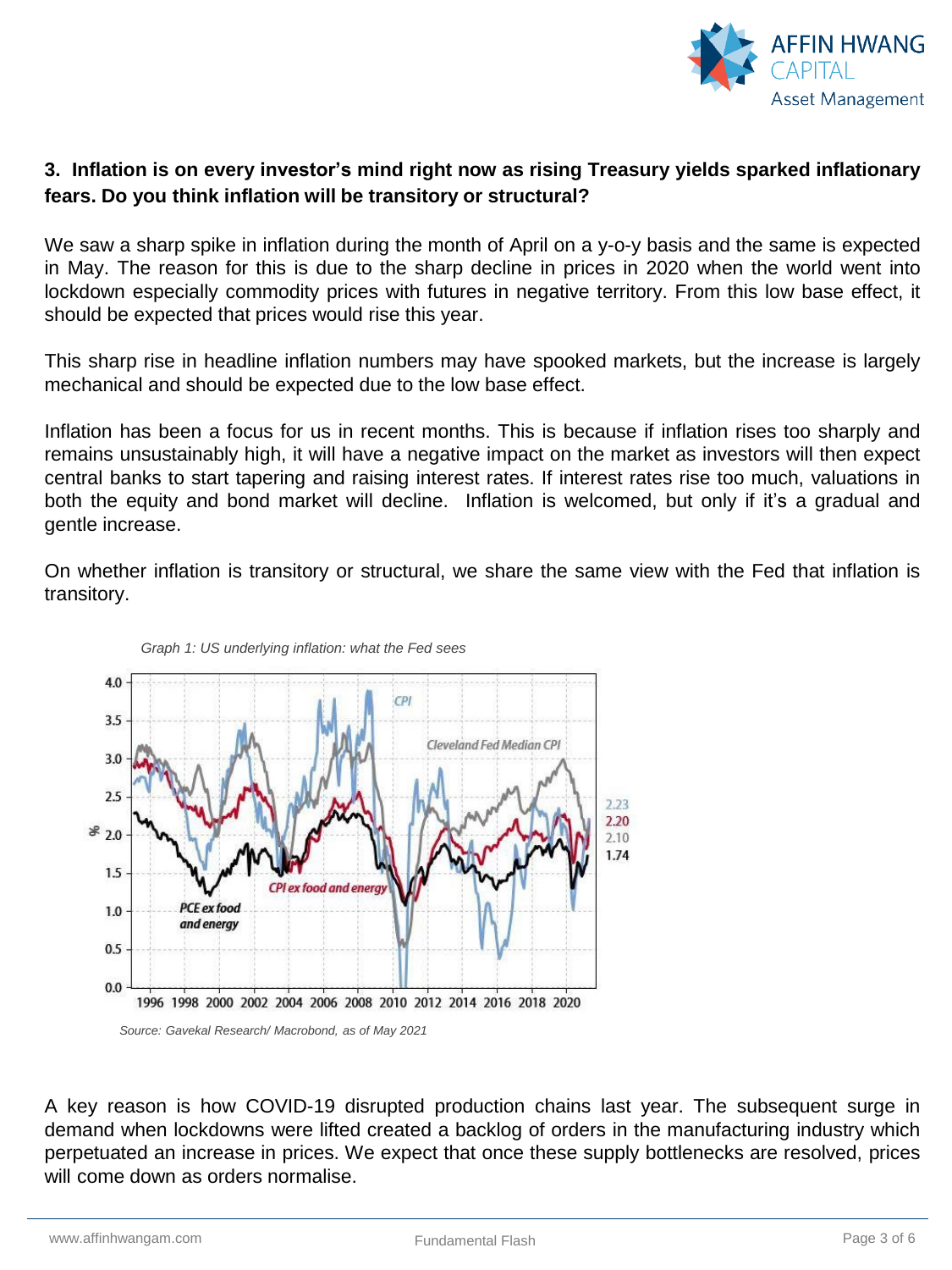

# **3. Inflation is on every investor's mind right now as rising Treasury yields sparked inflationary fears. Do you think inflation will be transitory or structural?**

We saw a sharp spike in inflation during the month of April on a y-o-y basis and the same is expected in May. The reason for this is due to the sharp decline in prices in 2020 when the world went into lockdown especially commodity prices with futures in negative territory. From this low base effect, it should be expected that prices would rise this year.

This sharp rise in headline inflation numbers may have spooked markets, but the increase is largely mechanical and should be expected due to the low base effect.

Inflation has been a focus for us in recent months. This is because if inflation rises too sharply and remains unsustainably high, it will have a negative impact on the market as investors will then expect central banks to start tapering and raising interest rates. If interest rates rise too much, valuations in both the equity and bond market will decline. Inflation is welcomed, but only if it's a gradual and gentle increase.

On whether inflation is transitory or structural, we share the same view with the Fed that inflation is transitory.





*Source: Gavekal Research/ Macrobond, as of May 2021*

A key reason is how COVID-19 disrupted production chains last year. The subsequent surge in demand when lockdowns were lifted created a backlog of orders in the manufacturing industry which perpetuated an increase in prices. We expect that once these supply bottlenecks are resolved, prices will come down as orders normalise.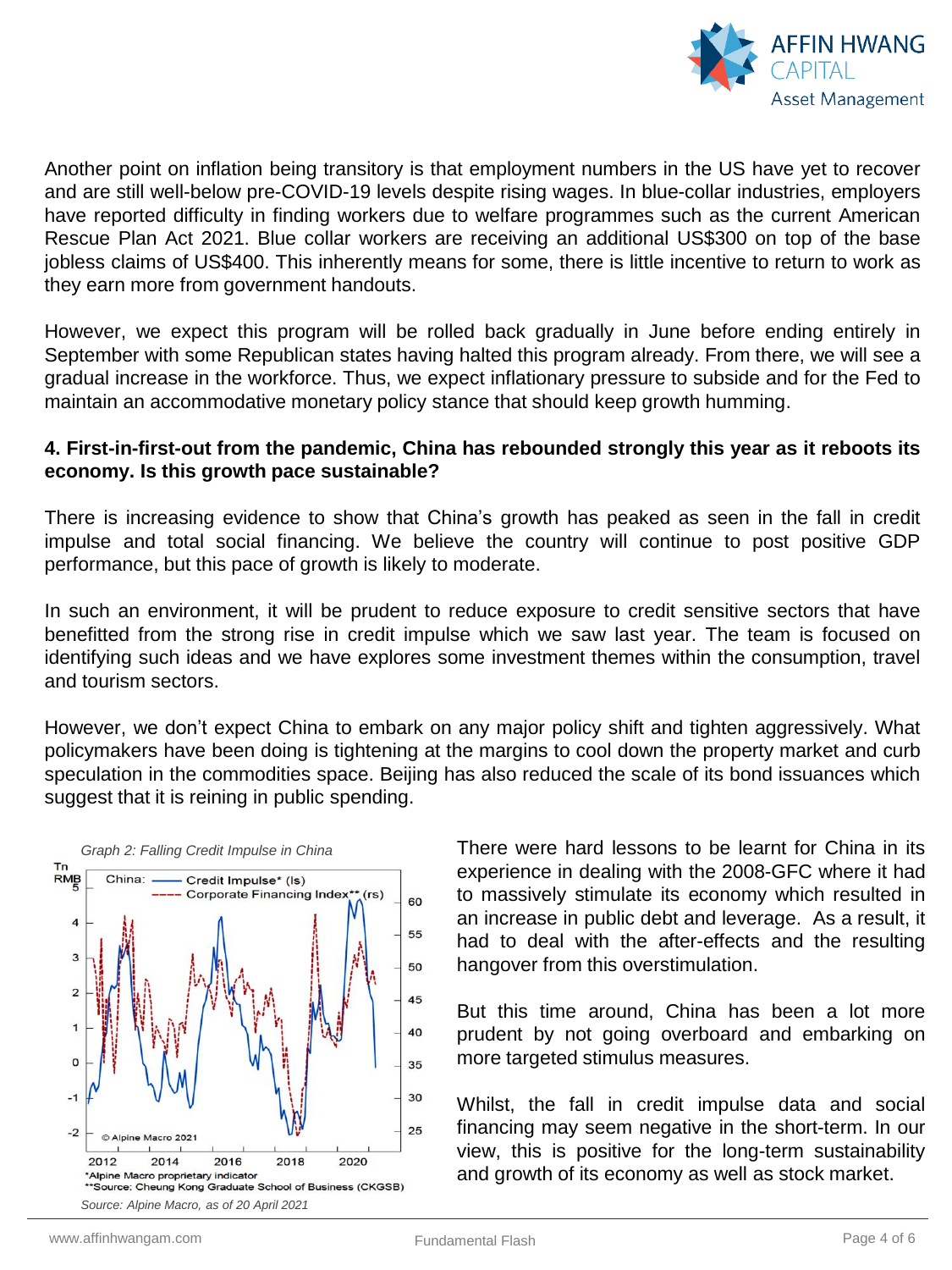

Another point on inflation being transitory is that employment numbers in the US have yet to recover and are still well-below pre-COVID-19 levels despite rising wages. In blue-collar industries, employers have reported difficulty in finding workers due to welfare programmes such as the current American Rescue Plan Act 2021. Blue collar workers are receiving an additional US\$300 on top of the base jobless claims of US\$400. This inherently means for some, there is little incentive to return to work as they earn more from government handouts.

However, we expect this program will be rolled back gradually in June before ending entirely in September with some Republican states having halted this program already. From there, we will see a gradual increase in the workforce. Thus, we expect inflationary pressure to subside and for the Fed to maintain an accommodative monetary policy stance that should keep growth humming.

#### **4. First-in-first-out from the pandemic, China has rebounded strongly this year as it reboots its economy. Is this growth pace sustainable?**

There is increasing evidence to show that China's growth has peaked as seen in the fall in credit impulse and total social financing. We believe the country will continue to post positive GDP performance, but this pace of growth is likely to moderate.

In such an environment, it will be prudent to reduce exposure to credit sensitive sectors that have benefitted from the strong rise in credit impulse which we saw last year. The team is focused on identifying such ideas and we have explores some investment themes within the consumption, travel and tourism sectors.

However, we don't expect China to embark on any major policy shift and tighten aggressively. What policymakers have been doing is tightening at the margins to cool down the property market and curb speculation in the commodities space. Beijing has also reduced the scale of its bond issuances which suggest that it is reining in public spending.



There were hard lessons to be learnt for China in its experience in dealing with the 2008-GFC where it had to massively stimulate its economy which resulted in an increase in public debt and leverage. As a result, it had to deal with the after-effects and the resulting hangover from this overstimulation.

But this time around, China has been a lot more prudent by not going overboard and embarking on more targeted stimulus measures.

Whilst, the fall in credit impulse data and social financing may seem negative in the short-term. In our view, this is positive for the long-term sustainability and growth of its economy as well as stock market.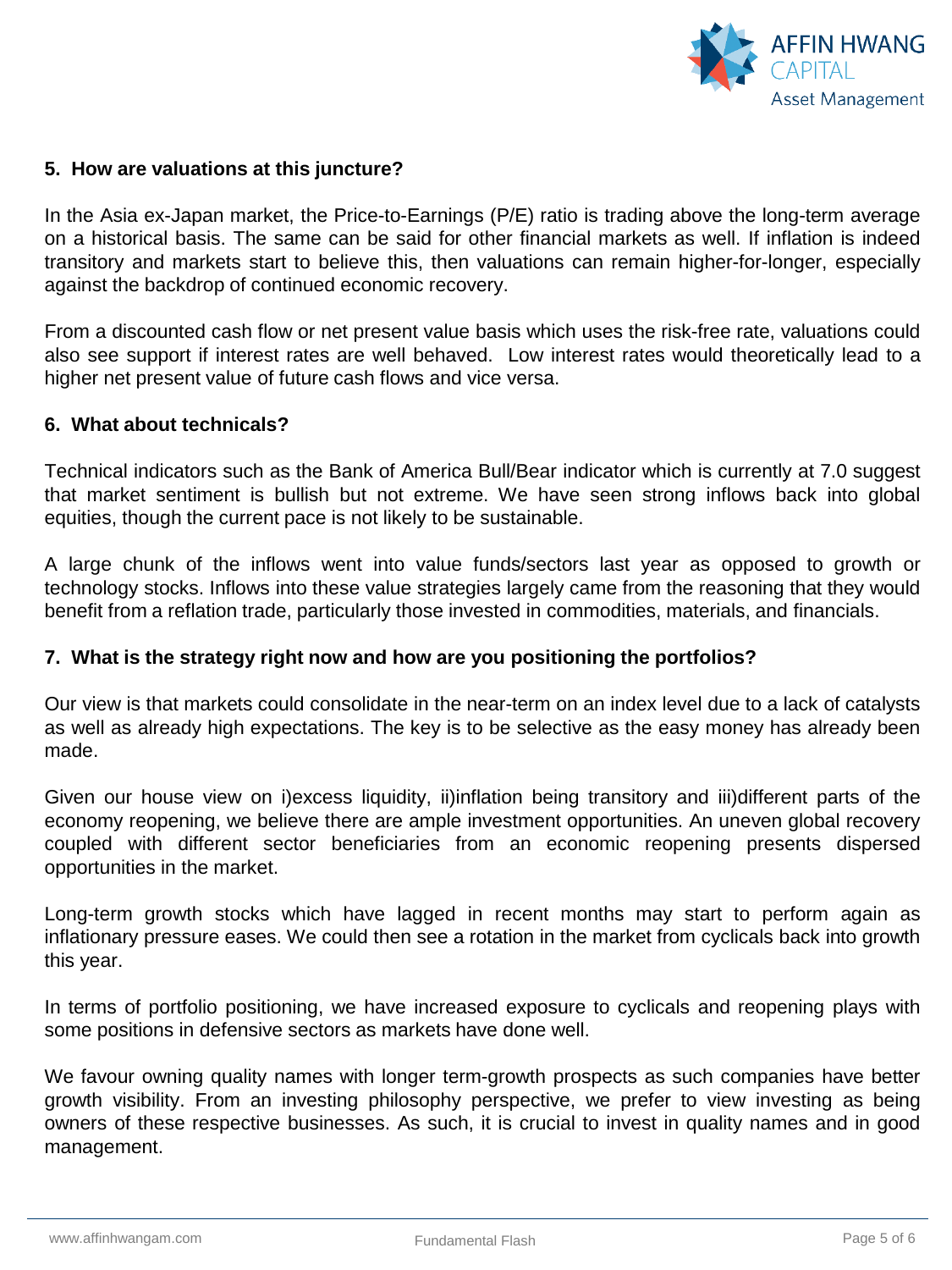

## **5. How are valuations at this juncture?**

In the Asia ex-Japan market, the Price-to-Earnings (P/E) ratio is trading above the long-term average on a historical basis. The same can be said for other financial markets as well. If inflation is indeed transitory and markets start to believe this, then valuations can remain higher-for-longer, especially against the backdrop of continued economic recovery.

From a discounted cash flow or net present value basis which uses the risk-free rate, valuations could also see support if interest rates are well behaved. Low interest rates would theoretically lead to a higher net present value of future cash flows and vice versa.

#### **6. What about technicals?**

Technical indicators such as the Bank of America Bull/Bear indicator which is currently at 7.0 suggest that market sentiment is bullish but not extreme. We have seen strong inflows back into global equities, though the current pace is not likely to be sustainable.

A large chunk of the inflows went into value funds/sectors last year as opposed to growth or technology stocks. Inflows into these value strategies largely came from the reasoning that they would benefit from a reflation trade, particularly those invested in commodities, materials, and financials.

#### **7. What is the strategy right now and how are you positioning the portfolios?**

Our view is that markets could consolidate in the near-term on an index level due to a lack of catalysts as well as already high expectations. The key is to be selective as the easy money has already been made.

Given our house view on i)excess liquidity, ii)inflation being transitory and iii)different parts of the economy reopening, we believe there are ample investment opportunities. An uneven global recovery coupled with different sector beneficiaries from an economic reopening presents dispersed opportunities in the market.

Long-term growth stocks which have lagged in recent months may start to perform again as inflationary pressure eases. We could then see a rotation in the market from cyclicals back into growth this year.

In terms of portfolio positioning, we have increased exposure to cyclicals and reopening plays with some positions in defensive sectors as markets have done well.

We favour owning quality names with longer term-growth prospects as such companies have better growth visibility. From an investing philosophy perspective, we prefer to view investing as being owners of these respective businesses. As such, it is crucial to invest in quality names and in good management.